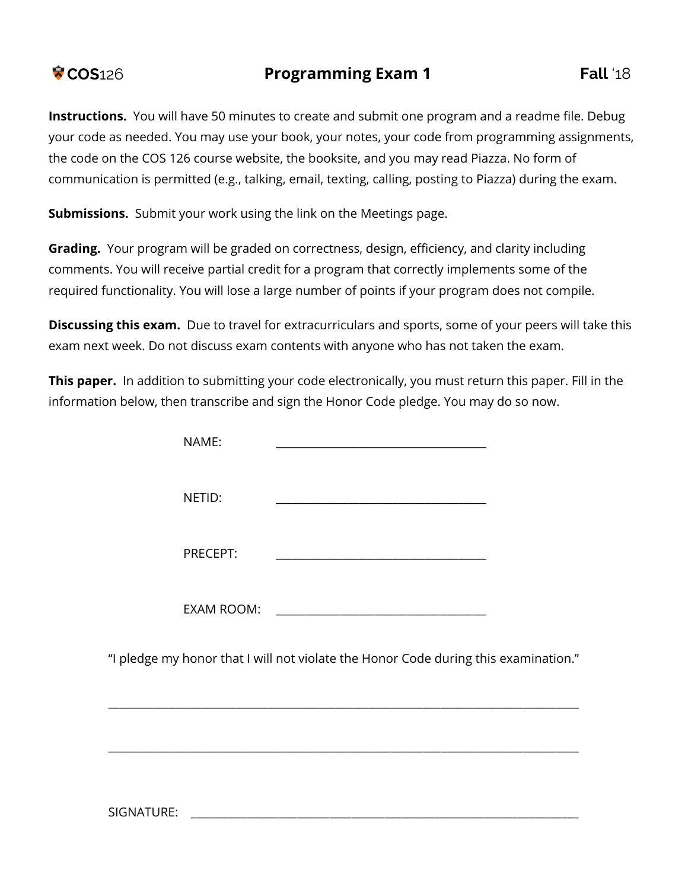## **COS**126 **Programming Exam 1 Fall** '18

**Instructions.** You will have 50 minutes to create and submit one program and a readme file. Debug your code as needed. You may use your book, your notes, your code from programming assignments, the code on the COS 126 course website, the booksite, and you may read Piazza. No form of communication is permitted (e.g., talking, email, texting, calling, posting to Piazza) during the exam.

**Submissions.** Submit your work using the link on the Meetings page.

**Grading.** Your program will be graded on correctness, design, efficiency, and clarity including comments. You will receive partial credit for a program that correctly implements some of the required functionality. You will lose a large number of points if your program does not compile.

**Discussing this exam.** Due to travel for extracurriculars and sports, some of your peers will take this exam next week. Do not discuss exam contents with anyone who has not taken the exam.

**This paper.** In addition to submitting your code electronically, you must return this paper. Fill in the information below, then transcribe and sign the Honor Code pledge. You may do so now.

| NAME:             |                                                                                     |  |
|-------------------|-------------------------------------------------------------------------------------|--|
| NETID:            |                                                                                     |  |
| PRECEPT:          |                                                                                     |  |
| <b>EXAM ROOM:</b> |                                                                                     |  |
|                   | "I pledge my honor that I will not violate the Honor Code during this examination." |  |
|                   |                                                                                     |  |

\_\_\_\_\_\_\_\_\_\_\_\_\_\_\_\_\_\_\_\_\_\_\_\_\_\_\_\_\_\_\_\_\_\_\_\_\_\_\_\_\_\_\_\_\_\_\_\_\_\_\_\_\_\_\_\_\_\_\_\_\_\_\_\_\_\_\_\_\_\_\_\_\_\_\_\_\_\_\_\_\_\_\_\_\_

SIGNATURE: \_\_\_\_\_\_\_\_\_\_\_\_\_\_\_\_\_\_\_\_\_\_\_\_\_\_\_\_\_\_\_\_\_\_\_\_\_\_\_\_\_\_\_\_\_\_\_\_\_\_\_\_\_\_\_\_\_\_\_\_\_\_\_\_\_\_\_\_\_\_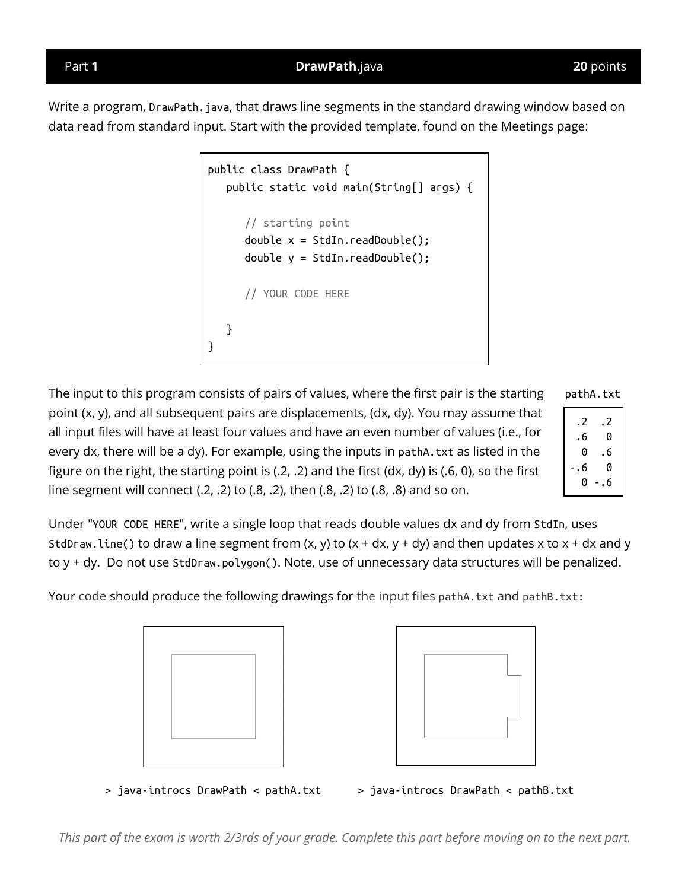Part **1 DrawPath**.java **20** points

Write a program, DrawPath. java, that draws line segments in the standard drawing window based on data read from standard input. Start with the provided template, found on the Meetings page:

```
public class DrawPath {
   public static void main(String[] args) {
      // starting point
      double x = \text{StdIn.readDouble});
      double y = StdIn.readDouble();
      // YOUR CODE HERE
   }
}
```
The input to this program consists of pairs of values, where the first pair is the starting point (x, y), and all subsequent pairs are displacements, (dx, dy). You may assume that all input files will have at least four values and have an even number of values (i.e., for every dx, there will be a dy). For example, using the inputs in pathA.txt as listed in the figure on the right, the starting point is (.2, .2) and the first (dx, dy) is (.6, 0), so the first line segment will connect (.2, .2) to (.8, .2), then (.8, .2) to (.8, .8) and so on.

pathA.txt

| . 2   |
|-------|
| 0     |
| . 6   |
| 0     |
| - . 6 |
|       |

Under "YOUR CODE HERE", write a single loop that reads double values dx and dy from StdIn, uses StdDraw.line() to draw a line segment from  $(x, y)$  to  $(x + dx, y + dy)$  and then updates x to  $x + dx$  and y to y + dy. Do not use StdDraw.polygon(). Note, use of unnecessary data structures will be penalized.

Your code should produce the following drawings for the input files pathA.txt and pathB.txt:





> java-introcs DrawPath < pathA.txt > java-introcs DrawPath < pathB.txt

This part of the exam is worth 2/3rds of your grade. Complete this part before moving on to the next part.